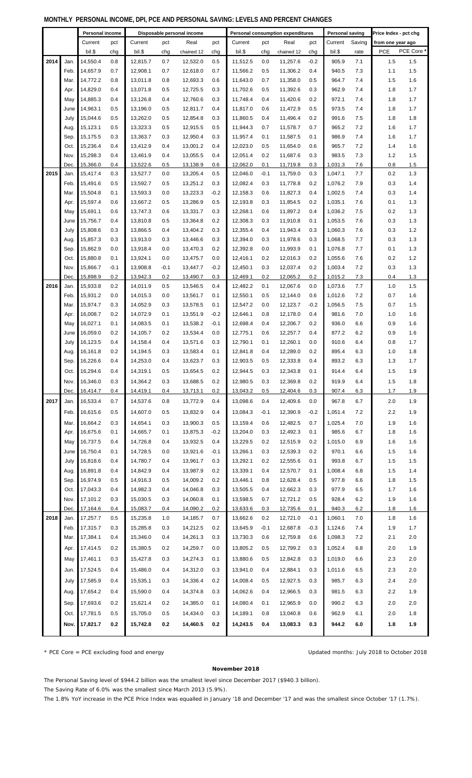| MONTHLY_PERSONAL INCOME, DPI, PCE AND PERSONAL SAVING: LEVELS AND PERCENT CHANGES |  |  |  |  |  |  |  |
|-----------------------------------------------------------------------------------|--|--|--|--|--|--|--|
|-----------------------------------------------------------------------------------|--|--|--|--|--|--|--|

|      |      | Personal income<br>Disposable personal income |        |          |        | Personal consumption expenditures |        |          |        | Personal saving<br>Price Index - pct chg |        |         |        |                   |            |
|------|------|-----------------------------------------------|--------|----------|--------|-----------------------------------|--------|----------|--------|------------------------------------------|--------|---------|--------|-------------------|------------|
|      |      |                                               |        |          |        |                                   |        |          |        |                                          |        |         |        |                   |            |
|      |      | Current                                       | pct    | Current  | pct    | Real                              | pct    | Current  | pct    | Real                                     | pct    | Current | Saving | from one year ago | PCE Core * |
|      |      | bil.\$                                        | chg    | bil.\$   | chg    | chained 12                        | chg    | bil.\$   | chg    | chained 12                               | chg    | bil.\$  | rate   | PCE               |            |
| 2014 | Jan. | 14.550.4                                      | 0.8    | 12,815.7 | 0.7    | 12,532.0                          | 0.5    | 11,512.5 | 0.0    | 11,257.6                                 | $-0.2$ | 905.9   | 7.1    | 1.5               | 1.5        |
|      | Feb. | 14,657.9                                      | 0.7    | 12,908.1 | 0.7    | 12,618.0                          | 0.7    | 11,566.2 | 0.5    | 11,306.2                                 | 0.4    | 940.5   | 7.3    | 1.1               | 1.5        |
|      | Mar. | 14,772.2                                      | 0.8    | 13,011.8 | 0.8    | 12,693.3                          | 0.6    | 11,643.0 | 0.7    | 11,358.0                                 | 0.5    | 964.7   | 7.4    | 1.5               | 1.6        |
|      | Apr. | 14,829.0                                      | 0.4    | 13,071.8 | 0.5    | 12,725.5                          | 0.3    | 11,702.6 | 0.5    | 11,392.6                                 | 0.3    | 962.9   | 7.4    | 1.8               | 1.7        |
|      | May  | 14,885.3                                      | 0.4    | 13,126.8 | 0.4    | 12,760.6                          | 0.3    | 11,748.4 | 0.4    | 11,420.6                                 | 0.2    | 972.1   | 7.4    | 1.8               | 1.7        |
|      | June | 14.963.1                                      | 0.5    | 13,196.0 | 0.5    | 12,811.7                          | 0.4    | 11,817.0 | 0.6    | 11,472.9                                 | 0.5    | 973.5   | 7.4    | 1.8               | 1.7        |
|      | July | 15,044.6                                      | 0.5    | 13,262.0 | 0.5    | 12,854.8                          | 0.3    | 11,860.5 | 0.4    | 11,496.4                                 | 0.2    | 991.6   | 7.5    | 1.8               | 1.8        |
|      | Aug. | 15,123.1                                      | 0.5    | 13,323.3 | 0.5    | 12,915.5                          | 0.5    | 11,944.3 | 0.7    | 11,578.7                                 | 0.7    | 965.2   | 7.2    | 1.6               | 1.7        |
|      | Sep. | 15,175.5                                      | 0.3    | 13,363.7 | 0.3    | 12,950.4                          | 0.3    | 11,957.4 | 0.1    | 11,587.5                                 | 0.1    | 986.9   | 7.4    | 1.6               | 1.7        |
|      | Oct. | 15,236.4                                      | 0.4    | 13,412.9 | 0.4    | 13,001.2                          | 0.4    | 12,023.0 | 0.5    | 11,654.0                                 | 0.6    | 965.7   | 7.2    | 1.4               | 1.6        |
|      | Nov. | 15,298.3                                      | 0.4    | 13,461.9 | 0.4    | 13,055.5                          | 0.4    | 12,051.4 | 0.2    | 11,687.6                                 | 0.3    | 983.5   | 7.3    | 1.2               | 1.5        |
|      | Dec. | 15,366.0                                      | 0.4    | 13,522.6 | 0.5    | 13,138.9                          | 0.6    | 12,062.0 | 0.1    | 11,719.8                                 | 0.3    | 1,031.3 | 7.6    | 0.8               | 1.5        |
| 2015 | Jan. | 15,417.4                                      | 0.3    | 13,527.7 | 0.0    | 13,205.4                          | 0.5    | 12.046.0 | $-0.1$ | 11,759.0                                 | 0.3    | 1,047.1 | 7.7    | 0.2               | 1.3        |
|      | Feb. | 15,491.6                                      | 0.5    | 13,592.7 | 0.5    | 13,251.2                          | 0.3    | 12,082.4 | 0.3    | 11,778.8                                 | 0.2    | 1,076.2 | 7.9    | 0.3               | 1.4        |
|      | Mar. | 15,504.8                                      | 0.1    | 13,593.3 | 0.0    | 13,223.3                          | $-0.2$ | 12,158.3 | 0.6    | 11,827.3                                 | 0.4    | 1,002.5 | 7.4    | 0.3               | 1.4        |
|      | Apr. | 15,597.4                                      | 0.6    | 13,667.2 | 0.5    | 13,286.9                          | 0.5    | 12,193.8 | 0.3    | 11,854.5                                 | 0.2    | 1,035.1 | 7.6    | 0.1               | 1.3        |
|      | May  | 15.691.1                                      | 0.6    | 13,747.3 | 0.6    | 13,331.7                          | 0.3    | 12,268.1 | 0.6    | 11,897.2                                 | 0.4    | 1,036.2 | 7.5    | 0.2               | 1.3        |
|      | June | 15.756.7                                      | 0.4    | 13,810.8 | 0.5    | 13,364.8                          | 0.2    | 12,308.3 | 0.3    | 11,910.8                                 | 0.1    | 1,053.5 | 7.6    | 0.3               | 1.3        |
|      | July | 15,808.6                                      | 0.3    | 13,866.5 | 0.4    | 13,404.2                          | 0.3    | 12,355.4 | 0.4    | 11,943.4                                 | 0.3    | 1,060.3 | 7.6    | 0.3               | 1.2        |
|      | Aug. | 15,857.3                                      | 0.3    | 13,913.0 | 0.3    | 13,446.6                          | 0.3    | 12,394.0 | 0.3    | 11,978.6                                 | 0.3    | 1,068.5 | 7.7    | 0.3               | 1.3        |
|      |      | 15,862.9                                      | 0.0    | 13,918.4 | 0.0    |                                   | 0.2    | 12,392.8 | 0.0    |                                          | 0.1    | 1,076.8 | 7.7    | 0.1               | 1.3        |
|      | Sep. |                                               |        |          |        | 13,470.3                          |        |          |        | 11,993.9                                 |        |         |        |                   |            |
|      | Oct. | 15,880.8                                      | 0.1    | 13,924.1 | 0.0    | 13,475.7                          | 0.0    | 12,416.1 | 0.2    | 12,016.3                                 | 0.2    | 1,055.6 | 7.6    | 0.2               | 1.2        |
|      | Nov. | 15,866.7                                      | $-0.1$ | 13,908.8 | $-0.1$ | 13,447.7                          | $-0.2$ | 12,450.1 | 0.3    | 12,037.4                                 | 0.2    | 1,003.4 | 7.2    | 0.3               | 1.3        |
|      | Dec. | 15,898.9                                      | 0.2    | 13,942.3 | 0.2    | 13,490.7                          | 0.3    | 12,469.1 | 0.2    | 12,065.2                                 | 0.2    | 1,015.2 | 7.3    | 0.4               | 1.3        |
| 2016 | Jan. | 15,933.8                                      | 0.2    | 14,011.9 | 0.5    | 13,546.5                          | 0.4    | 12,482.2 | 0.1    | 12,067.6                                 | 0.0    | 1,073.6 | 7.7    | 1.0               | 1.5        |
|      | Feb. | 15,931.2                                      | 0.0    | 14,015.3 | 0.0    | 13,561.7                          | 0.1    | 12,550.1 | 0.5    | 12,144.0                                 | 0.6    | 1,012.6 | 7.2    | 0.7               | 1.6        |
|      | Mar. | 15,974.7                                      | 0.3    | 14,052.9 | 0.3    | 13,578.5                          | 0.1    | 12,547.2 | 0.0    | 12,123.7                                 | $-0.2$ | 1,056.5 | 7.5    | 0.7               | 1.5        |
|      | Apr. | 16,008.7                                      | 0.2    | 14,072.9 | 0.1    | 13,551.9                          | $-0.2$ | 12,646.1 | 0.8    | 12,178.0                                 | 0.4    | 981.6   | 7.0    | 1.0               | 1.6        |
|      | May  | 16,027.1                                      | 0.1    | 14,083.5 | 0.1    | 13,538.2                          | $-0.1$ | 12,698.4 | 0.4    | 12,206.7                                 | 0.2    | 936.0   | 6.6    | 0.9               | 1.6        |
|      | June | 16,059.0                                      | 0.2    | 14,105.7 | 0.2    | 13,534.4                          | 0.0    | 12,775.1 | 0.6    | 12,257.7                                 | 0.4    | 877.2   | 6.2    | 0.9               | 1.6        |
|      | July | 16,123.5                                      | 0.4    | 14,158.4 | 0.4    | 13,571.6                          | 0.3    | 12,790.1 | 0.1    | 12,260.1                                 | 0.0    | 910.6   | 6.4    | 0.8               | 1.7        |
|      | Aug. | 16,161.8                                      | 0.2    | 14,194.5 | 0.3    | 13,583.4                          | 0.1    | 12,841.8 | 0.4    | 12,289.0                                 | 0.2    | 895.4   | 6.3    | 1.0               | 1.8        |
|      | Sep. | 16,226.6                                      | 0.4    | 14,253.0 | 0.4    | 13,623.7                          | 0.3    | 12,903.5 | 0.5    | 12,333.8                                 | 0.4    | 893.2   | 6.3    | 1.3               | 1.7        |
|      | Oct. | 16,294.6                                      | 0.4    | 14,319.1 | 0.5    | 13,654.5                          | 0.2    | 12,944.5 | 0.3    | 12,343.8                                 | 0.1    | 914.4   | 6.4    | 1.5               | 1.9        |
|      | Nov. | 16,346.0                                      | 0.3    | 14,364.2 | 0.3    | 13,688.5                          | 0.2    | 12,980.5 | 0.3    | 12,369.8                                 | 0.2    | 919.9   | 6.4    | 1.5               | 1.8        |
|      | Dec. | 16,414.7                                      | 0.4    | 14,419.1 | 0.4    | 13,713.1                          | 0.2    | 13,043.2 | 0.5    | 12,404.6                                 | 0.3    | 907.4   | 6.3    | 1.7               | 1.9        |
| 2017 | Jan. | 16,533.4                                      | 0.7    | 14,537.6 | 0.8    | 13,772.9                          | 0.4    | 13,098.6 | 0.4    | 12,409.6                                 | 0.0    | 967.8   | 6.7    | 2.0               | 1.9        |
|      | Feb. | 16,615.6                                      | 0.5    | 14,607.0 | 0.5    | 13,832.9                          | 0.4    | 13,084.3 | $-0.1$ | 12,390.9                                 | $-0.2$ | 1,051.4 | 7.2    | 2.2               | 1.9        |
|      |      |                                               |        |          |        |                                   |        |          |        |                                          |        |         |        |                   |            |
|      | Mar. | 16,664.2                                      | 0.3    | 14,654.1 | 0.3    | 13,900.3                          | 0.5    | 13,159.4 | 0.6    | 12,482.5                                 | 0.7    | 1,025.4 | 7.0    | 1.9               | 1.6        |
|      | Apr. | 16,675.6                                      | 0.1    | 14,665.7 | 0.1    | 13,875.3                          | $-0.2$ | 13,204.0 | 0.3    | 12,492.3                                 | 0.1    | 985.6   | 6.7    | 1.8               | 1.6        |
|      | May  | 16,737.5                                      | 0.4    | 14,726.8 | 0.4    | 13,932.5                          | 0.4    | 13,229.5 | 0.2    | 12,515.9                                 | 0.2    | 1,015.0 | 6.9    | 1.6               | 1.6        |
|      | June | 16,750.4                                      | 0.1    | 14,728.5 | 0.0    | 13,921.6                          | $-0.1$ | 13,266.1 | 0.3    | 12,539.3                                 | 0.2    | 970.1   | 6.6    | 1.5               | 1.6        |
|      | July | 16,818.6                                      | 0.4    | 14,780.7 | 0.4    | 13,961.7                          | 0.3    | 13,292.1 | 0.2    | 12,555.6                                 | 0.1    | 993.8   | 6.7    | 1.5               | 1.5        |
|      | Aug. | 16,891.8                                      | 0.4    | 14,842.9 | 0.4    | 13,987.9                          | 0.2    | 13,339.1 | 0.4    | 12,570.7                                 | 0.1    | 1,008.4 | 6.8    | 1.5               | 1.4        |
|      | Sep. | 16,974.9                                      | 0.5    | 14,916.3 | 0.5    | 14,009.2                          | 0.2    | 13,446.1 | 0.8    | 12,628.4                                 | 0.5    | 977.8   | 6.6    | 1.8               | 1.5        |
|      | Oct. | 17,043.3                                      | 0.4    | 14,982.3 | 0.4    | 14,046.8                          | 0.3    | 13,505.5 | 0.4    | 12,662.3                                 | 0.3    | 977.9   | 6.5    | 1.7               | 1.6        |
|      | Nov. | 17,101.2                                      | 0.3    | 15,030.5 | 0.3    | 14,060.8                          | 0.1    | 13,598.5 | 0.7    | 12,721.2                                 | 0.5    | 928.4   | 6.2    | 1.9               | 1.6        |
|      | Dec. | 17,164.6                                      | 0.4    | 15,083.7 | 0.4    | 14,090.2                          | 0.2    | 13,633.6 | 0.3    | 12,735.6                                 | 0.1    | 940.3   | 6.2    | 1.8               | 1.6        |
| 2018 | Jan. | 17,257.7                                      | 0.5    | 15,235.8 | 1.0    | 14,185.7                          | 0.7    | 13,662.6 | 0.2    | 12,721.0                                 | $-0.1$ | 1,060.1 | 7.0    | 1.8               | 1.6        |
|      | Feb. | 17,315.7                                      | 0.3    | 15,285.8 | 0.3    | 14,212.5                          | 0.2    | 13,645.9 | $-0.1$ | 12,687.8                                 | $-0.3$ | 1,124.6 | 7.4    | 1.9               | 1.7        |
|      | Mar. | 17,384.1                                      | 0.4    | 15,346.0 | 0.4    | 14,261.3                          | 0.3    | 13,730.3 | 0.6    | 12,759.8                                 | 0.6    | 1,098.3 | 7.2    | 2.1               | 2.0        |
|      |      |                                               |        |          |        |                                   |        |          |        |                                          |        |         |        |                   |            |
|      | Apr. | 17,414.5                                      | 0.2    | 15,380.5 | 0.2    | 14,259.7                          | 0.0    | 13,805.2 | 0.5    | 12,799.2                                 | 0.3    | 1,052.4 | 6.8    | 2.0               | 1.9        |
|      | May  | 17,461.1                                      | 0.3    | 15,427.8 | 0.3    | 14,274.3                          | 0.1    | 13,880.6 | 0.5    | 12,842.8                                 | 0.3    | 1,019.0 | 6.6    | 2.3               | 2.0        |
|      | Jun. | 17,524.5                                      | 0.4    | 15,486.0 | 0.4    | 14,312.0                          | 0.3    | 13,941.0 | 0.4    | 12,884.1                                 | 0.3    | 1,011.6 | 6.5    | 2.3               | 2.0        |
|      | July | 17,585.9                                      | 0.4    | 15,535.1 | 0.3    | 14,336.4                          | 0.2    | 14,008.4 | 0.5    | 12,927.5                                 | 0.3    | 985.7   | 6.3    | 2.4               | 2.0        |
|      | Aug. | 17,654.2                                      | 0.4    | 15,590.0 | 0.4    | 14,374.8                          | 0.3    | 14,062.6 | 0.4    | 12,966.5                                 | 0.3    | 981.5   | 6.3    | 2.2               | 1.9        |
|      |      |                                               |        |          |        |                                   |        |          |        |                                          |        |         |        |                   |            |
|      | Sep. | 17,693.6                                      | 0.2    | 15,621.4 | 0.2    | 14,385.0                          | 0.1    | 14,080.4 | 0.1    | 12,965.9                                 | 0.0    | 990.2   | 6.3    | 2.0               | 2.0        |
|      | Oct. | 17,781.5                                      | 0.5    | 15,705.0 | 0.5    | 14,434.0                          | 0.3    | 14,189.1 | 0.8    | 13,040.8                                 | 0.6    | 962.9   | 6.1    | 2.0               | 1.8        |
|      | Nov. | 17,821.7                                      | 0.2    | 15,742.8 | 0.2    | 14,460.5                          | 0.2    | 14,243.5 | 0.4    | 13,083.3                                 | 0.3    | 944.2   | 6.0    | 1.8               | 1.9        |
|      |      |                                               |        |          |        |                                   |        |          |        |                                          |        |         |        |                   |            |

\* PCE Core = PCE excluding food and energy

Updated months: July 2018 to October 2018

## **November 2018**

The Personal Saving level of \$944.2 billion was the smallest level since December 2017 (\$940.3 billion). The Saving Rate of 6.0% was the smallest since March 2013 (5.9%).

The 1.8% YoY increase in the PCE Price Index was equalled in January '18 and December '17 and was the smallest since October '17 (1.7%).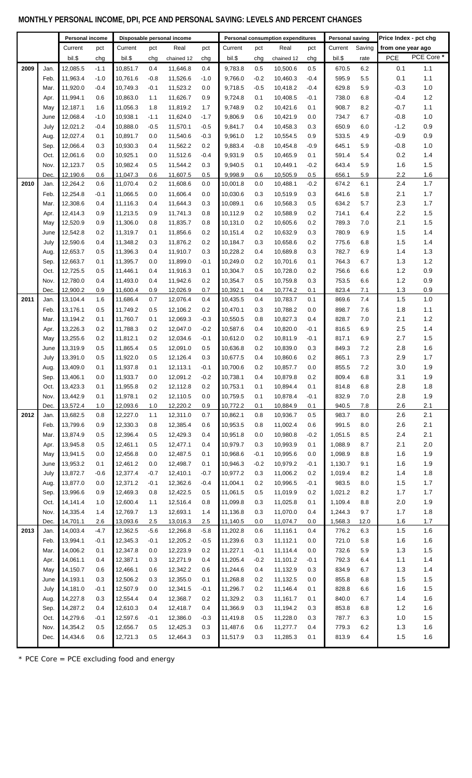## **MONTHLY PERSONAL INCOME, DPI, PCE AND PERSONAL SAVING: LEVELS AND PERCENT CHANGES**

|      |      | Personal income<br>Disposable personal income |        |                      |        | Personal consumption expenditures |         | <b>Personal saving</b> |        | Price Index - pct chg |        |         |        |                   |            |
|------|------|-----------------------------------------------|--------|----------------------|--------|-----------------------------------|---------|------------------------|--------|-----------------------|--------|---------|--------|-------------------|------------|
|      |      | Current                                       | pct    | Current              | pct    | Real                              | pct     | Current                | pct    | Real                  | pct    | Current | Saving | from one year ago |            |
|      |      | bil.\$                                        |        | bil.\$               |        |                                   |         | bil.\$                 |        |                       |        | bil.\$  |        | <b>PCE</b>        | PCE Core * |
|      |      |                                               | chg    |                      | chg    | chained 12                        | chg     |                        | chg    | chained 12            | chg    |         | rate   |                   |            |
| 2009 | Jan. | 12,085.5                                      | $-1.1$ | 10.851.7             | 0.4    | 11,646.8                          | 0.4     | 9,783.8                | 0.5    | 10,500.6              | 0.5    | 670.5   | 6.2    | 0.1               | 1.1        |
|      | Feb. | 11,963.4                                      | $-1.0$ | 10,761.6             | $-0.8$ | 11,526.6                          | $-1.0$  | 9,766.0                | $-0.2$ | 10,460.3              | $-0.4$ | 595.9   | 5.5    | 0.1               | $1.1$      |
|      | Mar. | 11,920.0                                      | $-0.4$ | 10,749.3             | $-0.1$ | 11,523.2                          | 0.0     | 9,718.5                | $-0.5$ | 10,418.2              | $-0.4$ | 629.8   | 5.9    | $-0.3$            | 1.0        |
|      | Apr. | 11,994.1                                      | 0.6    | 10,863.0             | 1.1    | 11,626.7                          | 0.9     | 9,724.8                | 0.1    | 10,408.5              | $-0.1$ | 738.0   | 6.8    | $-0.4$            | $1.2$      |
|      | May  | 12,187.1                                      | 1.6    | 11,056.3             | 1.8    | 11,819.2                          | 1.7     | 9,748.9                | 0.2    | 10,421.6              | 0.1    | 908.7   | 8.2    | $-0.7$            | $1.1$      |
|      | June | 12,068.4                                      | $-1.0$ | 10,938.1             | $-1.1$ | 11,624.0                          | $-1.7$  | 9,806.9                | 0.6    | 10,421.9              | 0.0    | 734.7   | 6.7    | $-0.8$            | $1.0\,$    |
|      | July | 12,021.2                                      | $-0.4$ | 10,888.0             | $-0.5$ | 11,570.1                          | $-0.5$  | 9,841.7                | 0.4    | 10,458.3              | 0.3    | 650.9   | 6.0    | $-1.2$            | $0.9\,$    |
|      | Aug. | 12,027.4                                      | 0.1    | 10,891.7             | 0.0    | 11,540.6                          | $-0.3$  | 9,961.0                | 1.2    | 10,554.5              | 0.9    | 533.5   | 4.9    | $-0.9$            | 0.9        |
|      | Sep. | 12,066.4                                      | 0.3    | 10,930.3             | 0.4    | 11,562.2                          | 0.2     | 9,883.4                | $-0.8$ | 10,454.8              | $-0.9$ | 645.1   | 5.9    | $-0.8$            | 1.0        |
|      | Oct. | 12,061.6                                      | 0.0    | 10,925.1             | 0.0    | 11,512.6                          | $-0.4$  | 9,931.9                | 0.5    | 10,465.9              | 0.1    | 591.4   | 5.4    | 0.2               | 1.4        |
|      | Nov. | 12,123.7                                      | 0.5    | 10,982.4             | 0.5    | 11,544.2                          | 0.3     | 9,940.5                | 0.1    | 10,449.1              | $-0.2$ | 643.4   | 5.9    | 1.6               | $1.5$      |
|      | Dec. | 12,190.6                                      | 0.6    | 11,047.3             | 0.6    | 11,607.5                          | 0.5     | 9,998.9                | 0.6    | 10,505.9              | 0.5    | 656.1   | 5.9    | 2.2               | 1.6        |
| 2010 | Jan. | 12,264.2                                      | 0.6    | 11,070.4             | 0.2    | 11,608.6                          | 0.0     | 10,001.8               | 0.0    | 10,488.1              | $-0.2$ | 674.2   | 6.1    | 2.4               | 1.7        |
|      | Feb. | 12,254.8                                      | $-0.1$ | 11,066.5             | 0.0    | 11,606.4                          | 0.0     | 10,030.6               | 0.3    | 10,519.9              | 0.3    | 641.6   | 5.8    | 2.1               | 1.7        |
|      | Mar. | 12,308.6                                      | 0.4    | 11,116.3             | 0.4    | 11,644.3                          | 0.3     | 10,089.1               | 0.6    | 10,568.3              | 0.5    | 634.2   | 5.7    | 2.3               | $1.7$      |
|      | Apr. | 12,414.3                                      | 0.9    | 11,213.5             | 0.9    | 11,741.3                          | 0.8     | 10,112.9               | 0.2    | 10,588.9              | 0.2    | 714.1   | 6.4    | 2.2               | 1.5        |
|      | May  | 12,520.9                                      | 0.9    | 11,306.0             | 0.8    | 11,835.7                          | 0.8     | 10,131.0               | 0.2    | 10,605.6              | 0.2    | 789.3   | 7.0    | 2.1               | 1.5        |
|      | June | 12,542.8                                      | 0.2    | 11,319.7             | 0.1    | 11,856.6                          | 0.2     | 10,151.4               | 0.2    | 10,632.9              | 0.3    | 780.9   | 6.9    | 1.5               | 1.4        |
|      | July | 12,590.6                                      | 0.4    | 11,348.2             | 0.3    | 11,876.2                          | 0.2     | 10,184.7               | 0.3    | 10,658.6              | 0.2    | 775.6   | 6.8    | 1.5               | 1.4        |
|      | Aug. | 12,653.7                                      | 0.5    | 11,396.3             | 0.4    | 11,910.7                          | 0.3     | 10,228.2               | 0.4    | 10,689.8              | 0.3    | 782.7   | 6.9    | 1.4               | $1.3$      |
|      | Sep. | 12,663.7                                      | 0.1    | 11,395.7             | 0.0    | 11,899.0                          | $-0.1$  | 10,249.0               | 0.2    | 10,701.6              | 0.1    | 764.3   | 6.7    | 1.3               | $1.2$      |
|      | Oct. | 12,725.5                                      | 0.5    | 11,446.1             | 0.4    | 11,916.3                          | 0.1     | 10,304.7               | 0.5    | 10,728.0              | 0.2    | 756.6   | 6.6    | 1.2               | $0.9\,$    |
|      | Nov. | 12,780.0                                      | 0.4    | 11,493.0             | 0.4    | 11,942.6                          | 0.2     | 10,354.7               | 0.5    | 10,759.8              | 0.3    | 753.5   | 6.6    | 1.2               | 0.9        |
|      | Dec. | 12,900.2                                      | 0.9    | 11,600.4             | 0.9    | 12,026.9                          | 0.7     | 10,392.1               | 0.4    | 10,774.2              | 0.1    | 823.4   | 7.1    | 1.3               | 0.9        |
| 2011 | Jan. | 13,104.4                                      | 1.6    | 11,686.4             | 0.7    | 12,076.4                          | 0.4     | 10,435.5               | 0.4    | 10,783.7              | 0.1    | 869.6   | 7.4    | 1.5               | 1.0        |
|      | Feb. | 13,176.1                                      | 0.5    | 11,749.2             | 0.5    | 12,106.2                          | 0.2     | 10,470.1               | 0.3    | 10,788.2              | 0.0    | 898.7   | 7.6    | 1.8               | 1.1        |
|      |      |                                               | 0.1    |                      | 0.1    |                                   | $-0.3$  |                        |        |                       |        | 828.7   |        | 2.1               | $1.2$      |
|      | Mar. | 13,194.2                                      |        | 11,760.7<br>11.788.3 |        | 12,069.3                          |         | 10,550.5               | 0.8    | 10,827.3              | 0.4    |         | 7.0    |                   | 1.4        |
|      | Apr. | 13,226.3                                      | 0.2    |                      | 0.2    | 12,047.0                          | $-0.2$  | 10,587.6               | 0.4    | 10,820.0              | $-0.1$ | 816.5   | 6.9    | 2.5               |            |
|      | May  | 13,255.6                                      | 0.2    | 11,812.1             | 0.2    | 12,034.6                          | $-0.1$  | 10,612.0               | 0.2    | 10,811.9              | $-0.1$ | 817.1   | 6.9    | 2.7               | 1.5        |
|      | June | 13,319.9                                      | 0.5    | 11,865.4             | 0.5    | 12,091.0                          | 0.5     | 10,636.8               | 0.2    | 10,839.0              | 0.3    | 849.3   | 7.2    | 2.8               | 1.6        |
|      | July | 13,391.0                                      | 0.5    | 11,922.0             | 0.5    | 12,126.4                          | 0.3     | 10,677.5               | 0.4    | 10,860.6              | 0.2    | 865.1   | 7.3    | 2.9               | 1.7        |
|      | Aug. | 13,409.0                                      | 0.1    | 11,937.8             | 0.1    | 12,113.1                          | $-0.1$  | 10,700.6               | 0.2    | 10,857.7              | 0.0    | 855.5   | 7.2    | 3.0               | 1.9        |
|      | Sep. | 13,406.1                                      | 0.0    | 11,933.7             | 0.0    | 12,091.2                          | $-0.2$  | 10,738.1               | 0.4    | 10,879.8              | 0.2    | 809.4   | 6.8    | 3.1               | 1.9        |
|      | Oct. | 13,423.3                                      | 0.1    | 11,955.8             | 0.2    | 12,112.8                          | 0.2     | 10,753.1               | 0.1    | 10,894.4              | 0.1    | 814.8   | 6.8    | 2.8               | 1.8        |
|      | Nov. | 13,442.9                                      | 0.1    | 11,978.1             | 0.2    | 12,110.5                          | $0.0\,$ | 10,759.5               | 0.1    | 10,878.4              | $-0.1$ | 832.9   | 7.0    | 2.8               | 1.9        |
|      | Dec. | 13,572.4                                      | 1.0    | 12,093.6             | 1.0    | 12,220.2                          | 0.9     | 10,772.2               | 0.1    | 10,884.9              | 0.1    | 940.5   | $7.8$  | 2.6               | 2.1        |
| 2012 | Jan. | 13,682.5                                      | 0.8    | 12,227.0             | 1.1    | 12,311.0                          | 0.7     | 10,862.1               | 0.8    | 10,936.7              | 0.5    | 983.7   | 8.0    | 2.6               | 2.1        |
|      | Feb. | 13,799.6                                      | 0.9    | 12,330.3             | 0.8    | 12,385.4                          | 0.6     | 10,953.5               | 0.8    | 11,002.4              | 0.6    | 991.5   | 8.0    | 2.6               | 2.1        |
|      | Mar. | 13,874.9                                      | 0.5    | 12,396.4             | 0.5    | 12,429.3                          | 0.4     | 10,951.8               | 0.0    | 10,980.8              | $-0.2$ | 1,051.5 | 8.5    | 2.4               | 2.1        |
|      | Apr. | 13,945.8                                      | 0.5    | 12,461.1             | 0.5    | 12,477.1                          | 0.4     | 10,979.7               | 0.3    | 10,993.9              | 0.1    | 1,088.9 | 8.7    | 2.1               | $2.0\,$    |
|      | May  | 13,941.5                                      | 0.0    | 12,456.8             | 0.0    | 12,487.5                          | 0.1     | 10,968.6               | $-0.1$ | 10,995.6              | 0.0    | 1,098.9 | 8.8    | 1.6               | 1.9        |
|      | June | 13,953.2                                      | 0.1    | 12,461.2             | 0.0    | 12,498.7                          | 0.1     | 10,946.3               | $-0.2$ | 10,979.2              | $-0.1$ | 1,130.7 | 9.1    | 1.6               | 1.9        |
|      | July | 13,872.7                                      | $-0.6$ | 12,377.4             | $-0.7$ | 12,410.1                          | $-0.7$  | 10,977.2               | 0.3    | 11,006.2              | 0.2    | 1,019.4 | 8.2    | 1.4               | $1.8\,$    |
|      | Aug. | 13,877.0                                      | 0.0    | 12,371.2             | $-0.1$ | 12,362.6                          | $-0.4$  | 11,004.1               | 0.2    | 10,996.5              | $-0.1$ | 983.5   | 8.0    | 1.5               | $1.7\,$    |
|      | Sep. | 13,996.6                                      | 0.9    | 12,469.3             | 0.8    | 12,422.5                          | 0.5     | 11,061.5               | 0.5    | 11,019.9              | 0.2    | 1,021.2 | 8.2    | 1.7               | $1.7$      |
|      | Oct. | 14,141.4                                      | 1.0    | 12,600.4             | 1.1    | 12,516.4                          | 0.8     | 11,099.8               | 0.3    | 11,025.8              | 0.1    | 1,109.4 | 8.8    | 2.0               | $1.9$      |
|      | Nov. | 14,335.4                                      | 1.4    | 12,769.7             | 1.3    | 12,693.1                          | 1.4     | 11,136.8               | 0.3    | 11,070.0              | 0.4    | 1,244.3 | 9.7    | 1.7               | $1.8$      |
|      | Dec. | 14,701.1                                      | 2.6    | 13,093.6             | 2.5    | 13,016.3                          | 2.5     | 11,140.5               | 0.0    | 11,074.7              | 0.0    | 1,568.3 | 12.0   | 1.6               | 1.7        |
| 2013 | Jan. | 14,003.4                                      | $-4.7$ | 12,362.5             | $-5.6$ | 12,266.8                          | $-5.8$  | 11,202.8               | 0.6    | 11,116.1              | 0.4    | 776.2   | 6.3    | 1.5               | 1.6        |
|      | Feb. | 13,994.1                                      | $-0.1$ | 12,345.3             | $-0.1$ | 12,205.2                          | $-0.5$  | 11,239.6               | 0.3    | 11,112.1              | 0.0    | 721.0   | 5.8    | 1.6               | 1.6        |
|      | Mar. | 14,006.2                                      | 0.1    | 12,347.8             | 0.0    | 12,223.9                          | 0.2     | 11,227.1               | $-0.1$ | 11,114.4              | 0.0    | 732.6   | 5.9    | 1.3               | 1.5        |
|      | Apr. | 14,061.1                                      | 0.4    | 12,387.1             | 0.3    | 12,271.9                          | 0.4     | 11,205.4               | $-0.2$ | 11,101.2              | $-0.1$ | 792.3   | 6.4    | 1.1               | $1.4$      |
|      | May  | 14,150.7                                      | 0.6    | 12,466.1             | 0.6    | 12,342.2                          | 0.6     | 11,244.6               | 0.4    | 11,132.9              | 0.3    | 834.9   | 6.7    | 1.3               | $1.4$      |
|      | June | 14,193.1                                      | 0.3    | 12,506.2             | 0.3    | 12,355.0                          | 0.1     | 11,268.8               | 0.2    | 11,132.5              | 0.0    | 855.8   | 6.8    | 1.5               | 1.5        |
|      | July | 14,181.0                                      | $-0.1$ | 12,507.9             | 0.0    | 12,341.5                          | $-0.1$  | 11,296.7               | 0.2    | 11,146.4              | 0.1    | 828.8   | 6.6    | 1.6               | $1.5$      |
|      | Aug. | 14,227.8                                      | 0.3    | 12,554.4             | 0.4    | 12,368.7                          | 0.2     | 11,329.2               | 0.3    | 11,161.7              | 0.1    | 840.0   | 6.7    | 1.4               | $1.6$      |
|      | Sep. | 14,287.2                                      | 0.4    | 12,610.3             | 0.4    | 12,418.7                          | 0.4     | 11,366.9               | 0.3    | 11,194.2              | 0.3    | 853.8   | 6.8    | 1.2               | 1.6        |
|      | Oct. | 14,279.6                                      | $-0.1$ | 12,597.6             | $-0.1$ | 12,386.0                          | $-0.3$  | 11,419.8               | 0.5    | 11,228.0              | 0.3    | 787.7   | 6.3    | 1.0               | $1.5$      |
|      | Nov. | 14,354.2                                      | 0.5    | 12,656.7             | 0.5    | 12,425.3                          | 0.3     | 11,487.6               | 0.6    | 11,277.7              | 0.4    | 779.3   | 6.2    | 1.3               | $1.6\,$    |
|      | Dec. | 14,434.6                                      | 0.6    | 12,721.3             | 0.5    | 12,464.3                          | 0.3     | 11,517.9               | 0.3    | 11,285.3              | 0.1    | 813.9   | 6.4    | 1.5               | 1.6        |
|      |      |                                               |        |                      |        |                                   |         |                        |        |                       |        |         |        |                   |            |

\* PCE Core = PCE excluding food and energy